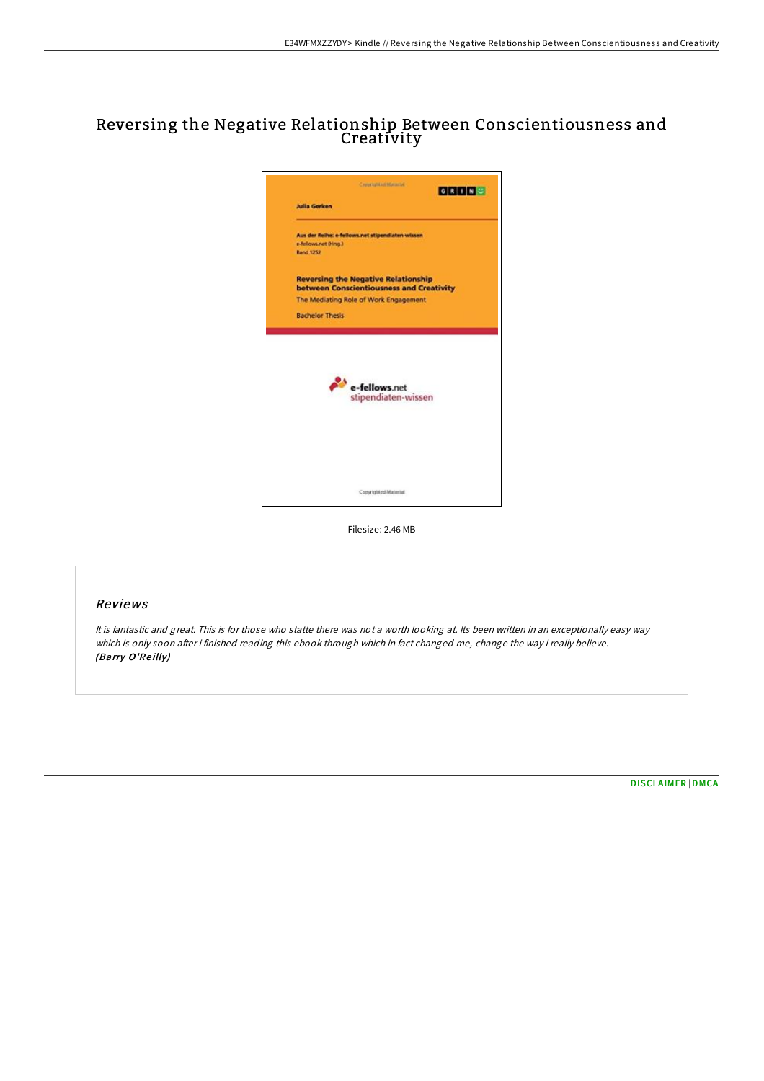## Reversing the Negative Relationship Between Conscientiousness and Creativity



Filesize: 2.46 MB

## Reviews

It is fantastic and great. This is for those who statte there was not <sup>a</sup> worth looking at. Its been written in an exceptionally easy way which is only soon after i finished reading this ebook through which in fact changed me, change the way i really believe. (Barry O'Reilly)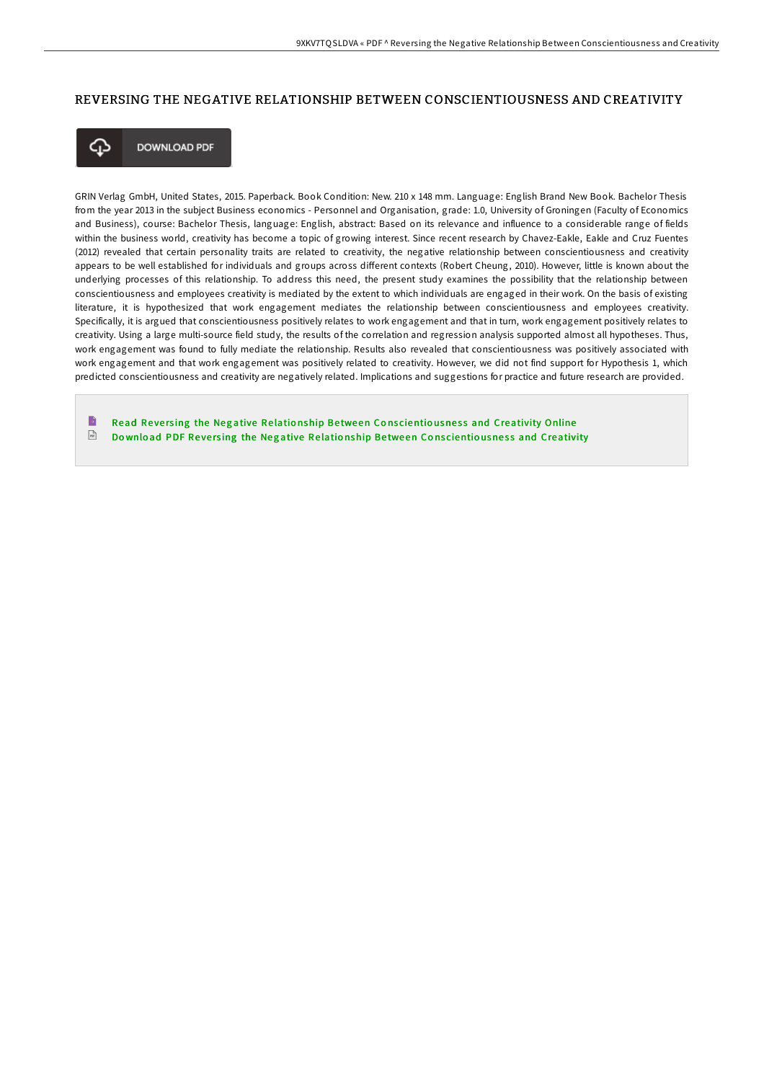## REVERSING THE NEGATIVE RELATIONSHIP BETWEEN CONSCIENTIOUSNESS AND CREATIVITY



**DOWNLOAD PDF** 

GRIN Verlag GmbH, United States, 2015. Paperback. Book Condition: New. 210 x 148 mm. Language: English Brand New Book. Bachelor Thesis from the year 2013 in the subject Business economics - Personnel and Organisation, grade: 1.0, University of Groningen (Faculty of Economics and Business), course: Bachelor Thesis, language: English, abstract: Based on its relevance and influence to a considerable range of fields within the business world, creativity has become a topic of growing interest. Since recent research by Chavez-Eakle, Eakle and Cruz Fuentes (2012) revealed that certain personality traits are related to creativity, the negative relationship between conscientiousness and creativity appears to be well established for individuals and groups across different contexts (Robert Cheung, 2010). However, little is known about the underlying processes of this relationship. To address this need, the present study examines the possibility that the relationship between conscientiousness and employees creativity is mediated by the extent to which individuals are engaged in their work. On the basis of existing literature, it is hypothesized that work engagement mediates the relationship between conscientiousness and employees creativity. Specifically, it is argued that conscientiousness positively relates to work engagement and that in turn, work engagement positively relates to creativity. Using a large multi-source field study, the results of the correlation and regression analysis supported almost all hypotheses. Thus, work engagement was found to fully mediate the relationship. Results also revealed that conscientiousness was positively associated with work engagement and that work engagement was positively related to creativity. However, we did not find support for Hypothesis 1, which predicted conscientiousness and creativity are negatively related. Implications and suggestions for practice and future research are provided.

B Read Reversing the Negative Relationship Between Conscientiousness and [Creativity](http://almighty24.tech/reversing-the-negative-relationship-between-cons.html) Online  $\sqrt{\frac{1}{2}}$ Download PDF Reversing the Negative Relationship Between Conscientiousness and [Creativity](http://almighty24.tech/reversing-the-negative-relationship-between-cons.html)